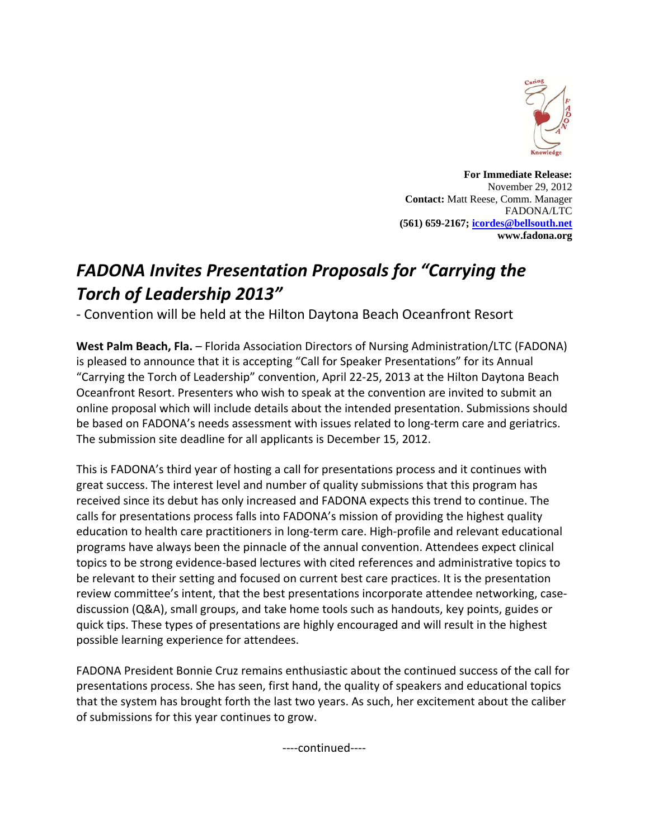

**For Immediate Release:**  November 29, 2012 **Contact:** Matt Reese, Comm. Manager FADONA/LTC **(561) 659-2167; icordes@bellsouth.net www.fadona.org**

## *FADONA Invites Presentation Proposals for "Carrying the Torch of Leadership 2013"*

‐ Convention will be held at the Hilton Daytona Beach Oceanfront Resort

**West Palm Beach, Fla.** – Florida Association Directors of Nursing Administration/LTC (FADONA) is pleased to announce that it is accepting "Call for Speaker Presentations" for its Annual "Carrying the Torch of Leadership" convention, April 22‐25, 2013 at the Hilton Daytona Beach Oceanfront Resort. Presenters who wish to speak at the convention are invited to submit an online proposal which will include details about the intended presentation. Submissions should be based on FADONA's needs assessment with issues related to long-term care and geriatrics. The submission site deadline for all applicants is December 15, 2012.

This is FADONA's third year of hosting a call for presentations process and it continues with great success. The interest level and number of quality submissions that this program has received since its debut has only increased and FADONA expects this trend to continue. The calls for presentations process falls into FADONA's mission of providing the highest quality education to health care practitioners in long‐term care. High‐profile and relevant educational programs have always been the pinnacle of the annual convention. Attendees expect clinical topics to be strong evidence‐based lectures with cited references and administrative topics to be relevant to their setting and focused on current best care practices. It is the presentation review committee's intent, that the best presentations incorporate attendee networking, case‐ discussion (Q&A), small groups, and take home tools such as handouts, key points, guides or quick tips. These types of presentations are highly encouraged and will result in the highest possible learning experience for attendees.

FADONA President Bonnie Cruz remains enthusiastic about the continued success of the call for presentations process. She has seen, first hand, the quality of speakers and educational topics that the system has brought forth the last two years. As such, her excitement about the caliber of submissions for this year continues to grow.

‐‐‐‐continued‐‐‐‐